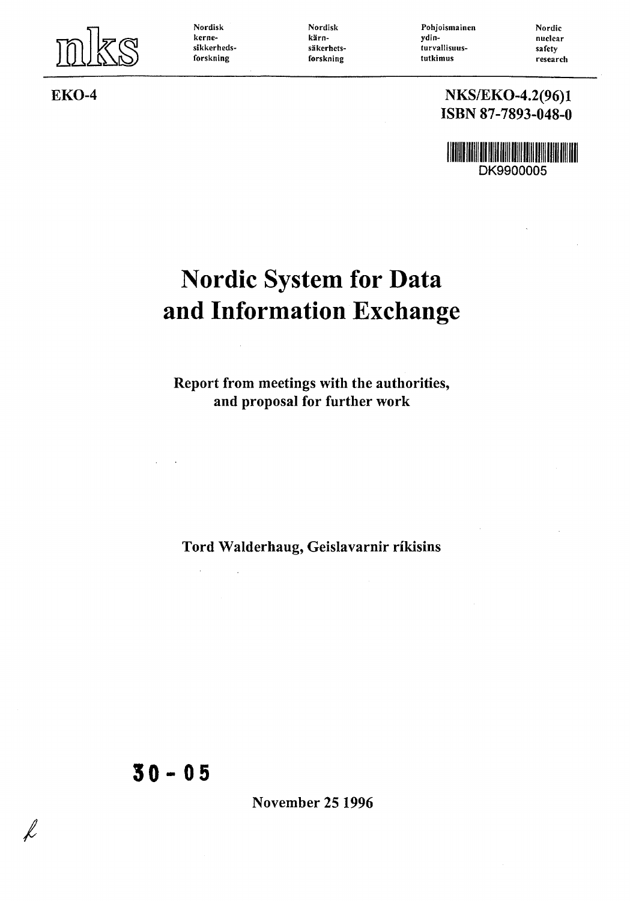

**Nordisk kernesikkerhedsforskning**

**Nordisk karnsakerhetsforskning**

**Pohjoismainen ydinturvallisuustutkimus**

**Nordic nuclear safety research**

#### EKO-4 NKS/EKO-4.2(96)1 ISBN 87-7893-048-0

<u>HALLA HIRIDI DI BILIMI DI BILIMI DI BILIMI DI BILIMI DI BILIMI DI BILIMI DI BILIMI DI BILIMI DI BILIMI DI BILI</u> DK9900005

# Nordic System for Data and Information Exchange

Report from meetings with the authorities, and proposal for further work

Tord Walderhaug, Geislavarnir rikisins

**30-0 5**

 $\alpha$ 

 $\bar{z}$ 

November 25 1996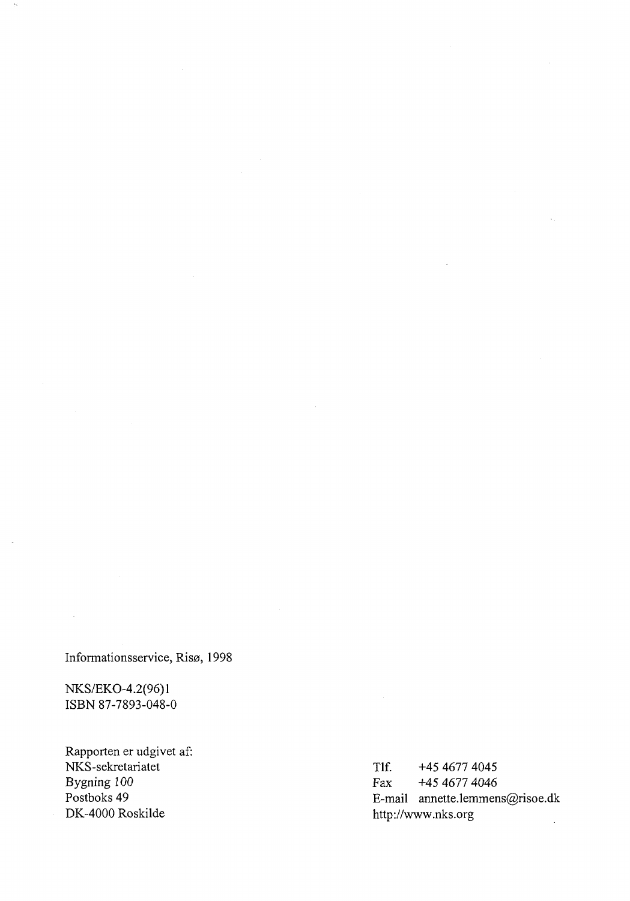Informationsservice, Risø, 1998

NKS/EKO-4.2(96)1 ISBN 87-7893-048-0

 $\tilde{\gamma}$ 

Rapporten er udgivet af: NKS-sekretariatet 1980<br>Bygning 100 Fax +45 4677 4046 Bygning 100<br>
Postboks 49<br>
Fax +45 4677 4046<br>
E-mail annette.lemmen

Postboks 49<br>DK-4000 Roskilde E-mail annette.lemmens@risoe.dk<br>http://www.nks.org http://www.nks.org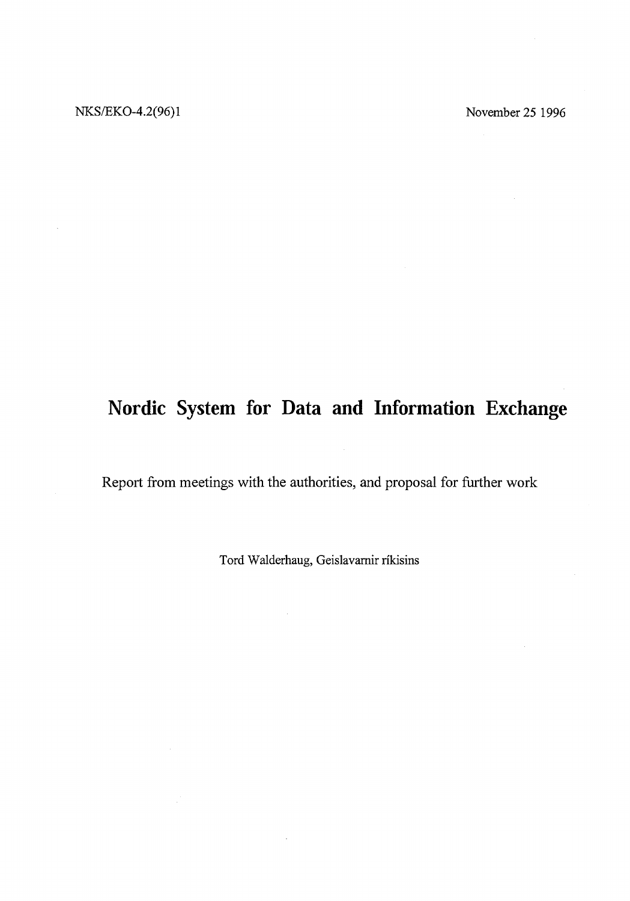## **Nordic System for Data and Information Exchange**

Report from meetings with the authorities, and proposal for further work

Tord Walderhaug, Geislavarnir rikisins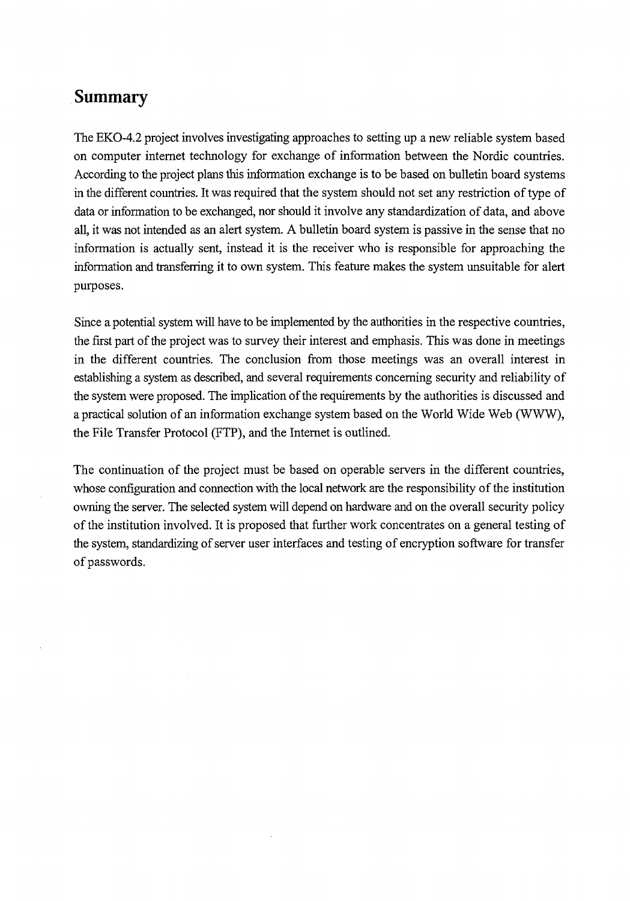### **Summary**

The EKO-4.2 project involves investigating approaches to setting up a new reliable system based on computer internet technology for exchange of information between the Nordic countries. According to the project plans this information exchange is to be based on bulletin board systems in the different countries. It was required that the system should not set any restriction of type of data or information to be exchanged, nor should it involve any standardization of data, and above all, it was not intended as an alert system. A bulletin board system is passive in the sense that no information is actually sent, instead it is the receiver who is responsible for approaching the information and transferring it to own system. This feature makes the system unsuitable for alert purposes.

Since a potential system will have to be implemented by the authorities in the respective countries, the first part of the project was to survey their interest and emphasis. This was done in meetings in the different countries. The conclusion from those meetings was an overall interest in establishing a system as described, and several requirements concerning security and reliability of the system were proposed. The implication of the requirements by the authorities is discussed and a practical solution of an information exchange system based on the World Wide Web (WWW), the File Transfer Protocol (FTP), and the Internet is outlined.

The continuation of the project must be based on operable servers in the different countries, whose configuration and connection with the local network are the responsibility of the institution owning the server. The selected system will depend on hardware and on the overall security policy of the institution involved. It is proposed that further work concentrates on a general testing of the system, standardizing of server user interfaces and testing of encryption software for transfer of passwords.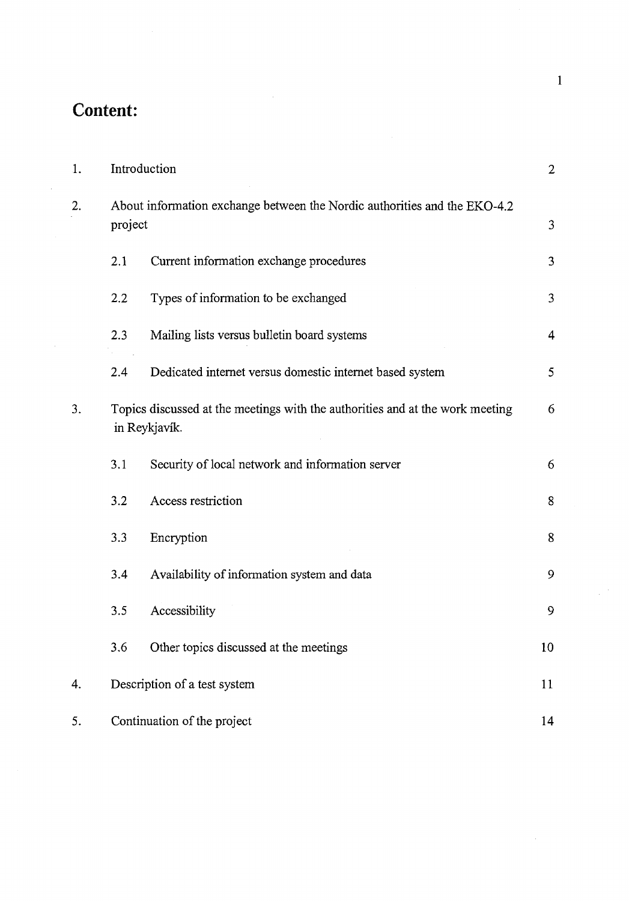## **Content:**

 $\bar{z}$ 

| 1. |                                                                                                | Introduction                                             | $\overline{2}$   |
|----|------------------------------------------------------------------------------------------------|----------------------------------------------------------|------------------|
| 2. | About information exchange between the Nordic authorities and the EKO-4.2<br>project           |                                                          |                  |
|    | 2.1                                                                                            | Current information exchange procedures                  | 3                |
|    | 2.2                                                                                            | Types of information to be exchanged                     | 3                |
|    | 2.3                                                                                            | Mailing lists versus bulletin board systems              | $\overline{4}$   |
|    | 2.4                                                                                            | Dedicated internet versus domestic internet based system | $\mathfrak{s}$   |
| 3. | Topics discussed at the meetings with the authorities and at the work meeting<br>in Reykjavík. |                                                          |                  |
|    | 3.1                                                                                            | Security of local network and information server         | 6                |
|    | 3.2                                                                                            | Access restriction                                       | 8                |
|    | 3.3                                                                                            | Encryption                                               | $\bf 8$          |
|    | 3.4                                                                                            | Availability of information system and data              | 9                |
|    | 3.5                                                                                            | Accessibility                                            | $\boldsymbol{9}$ |
|    | 3.6                                                                                            | Other topics discussed at the meetings                   | 10               |
| 4. |                                                                                                | Description of a test system                             |                  |
| 5. |                                                                                                | Continuation of the project                              | 14               |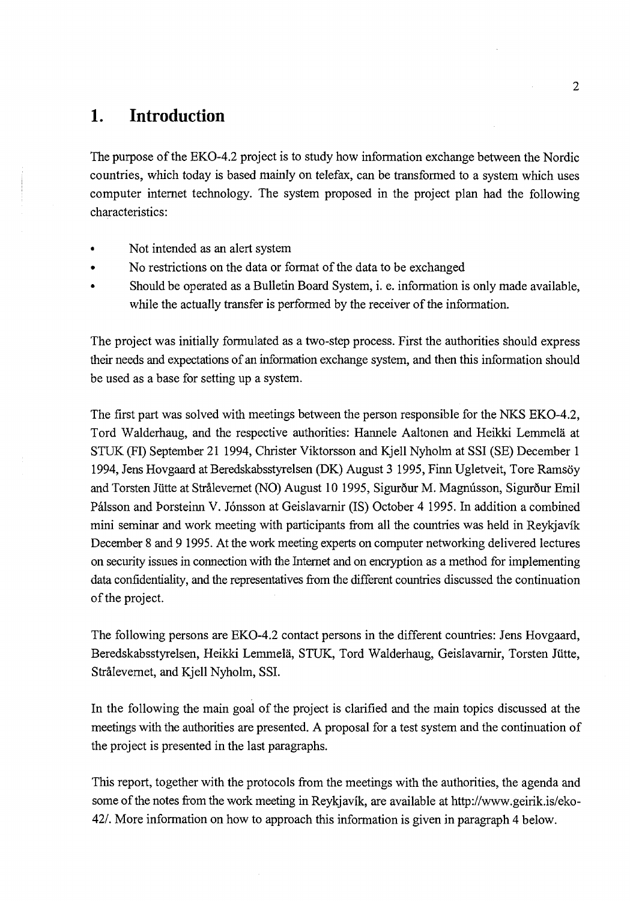### **1. Introduction**

The purpose of the EKO-4.2 project is to study how information exchange between the Nordic countries, which today is based mainly on telefax, can be transformed to a system which uses computer internet technology. The system proposed in the project plan had the following characteristics:

- Not intended as an alert system
- No restrictions on the data or format of the data to be exchanged
- Should be operated as a Bulletin Board System, i. e. information is only made available, while the actually transfer is performed by the receiver of the information.

The project was initially formulated as a two-step process. First the authorities should express their needs and expectations of an information exchange system, and then this information should be used as a base for setting up a system.

The first part was solved with meetings between the person responsible for the NKS EKO-4.2, Tord Walderhaug, and the respective authorities: Hannele Aaltonen and Heikki Lemmela at STUK *(FT)* September 21 1994, Christer Viktorsson and Kjell Nyholm at SSI (SE) December 1 1994, Jens Hovgaard at Beredskabsstyrelsen (DK) August 3 1995, Finn Ugletveit, Tore Ramsoy and Torsten Jütte at Strålevernet (NO) August 10 1995, Sigurður M. Magnússon, Sigurður Emil Pálsson and Þorsteinn V. Jónsson at Geislavarnir (IS) October 4 1995. In addition a combined mini seminar and work meeting with participants from all the countries was held in Reykjavik December 8 and 9 1995. At the work meeting experts on computer networking delivered lectures on security issues in connection with the Internet and on encryption as a method for implementing data confidentiality, and the representatives from the different countries discussed the continuation of the project.

The following persons are EKO-4.2 contact persons in the different countries: Jens Hovgaard, Beredskabsstyrelsen, Heikki Lemmela, STUK, Tord Walderhaug, Geislavarnir, Torsten Jiitte, Stralevernet, and Kjell Nyholm, SSI.

In the following the main goal of the project is clarified and the main topics discussed at the meetings with the authorities are presented. A proposal for a test system and the continuation of the project is presented in the last paragraphs.

This report, together with the protocols from the meetings with the authorities, the agenda and some of the notes from the work meeting in Reykjavik, are available at http://www.geirik.is/eko-42/. More information on how to approach this information is given in paragraph 4 below.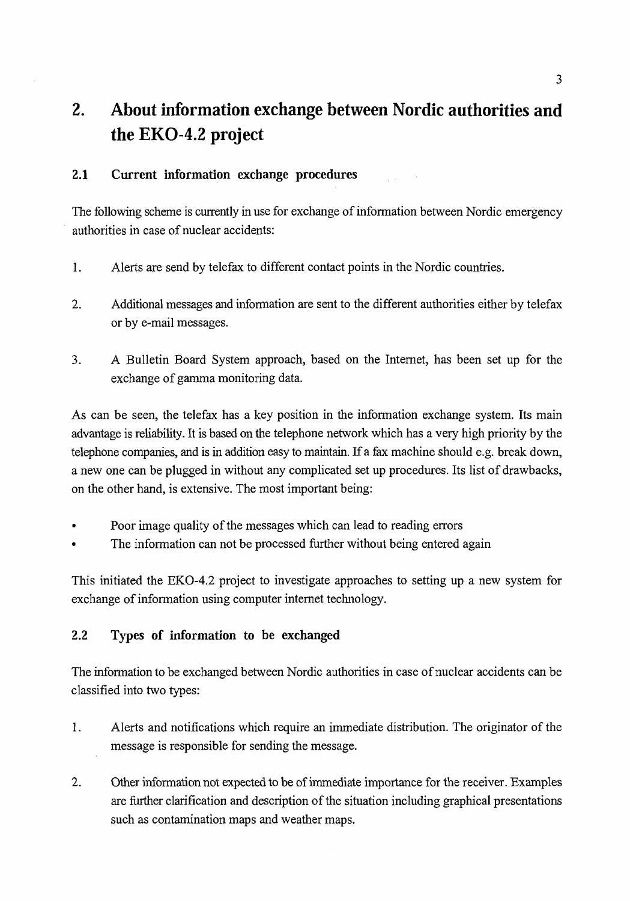## **2. About information exchange between Nordic authorities and the EKO-4.2 project**

#### **2.1 Current information exchange procedures**

The following scheme is currently in use for exchange of information between Nordic emergency authorities in case of nuclear accidents:

- 1. Alerts are send by telefax to different contact points in the Nordic countries.
- 2. Additional messages and information are sent to the different authorities either by telefax or by e-mail messages.
- 3. A Bulletin Board System approach, based on the Internet, has been set up for the exchange of gamma monitoring data.

As can be seen, the telefax has a key position in the information exchange system. Its main advantage is reliability. It is based on the telephone network which has a very high priority by the telephone companies, and is in addition easy to maintain. If a fax machine should e.g. break down, a new one can be plugged in without any complicated set up procedures. Its list of drawbacks, on the other hand, is extensive. The most important being:

- Poor image quality of the messages which can lead to reading errors
- The information can not be processed further without being entered again

This initiated the EKO-4.2 project to investigate approaches to setting up a new system for exchange of information using computer internet technology.

#### **2.2 Types of information to be exchanged**

The information to be exchanged between Nordic authorities in case of nuclear accidents can be classified into two types:

- 1. Alerts and notifications which require an immediate distribution. The originator of the message is responsible for sending the message.
- 2. Other information not expected to be of immediate importance for the receiver. Examples are further clarification and description of the situation including graphical presentations such as contamination maps and weather maps.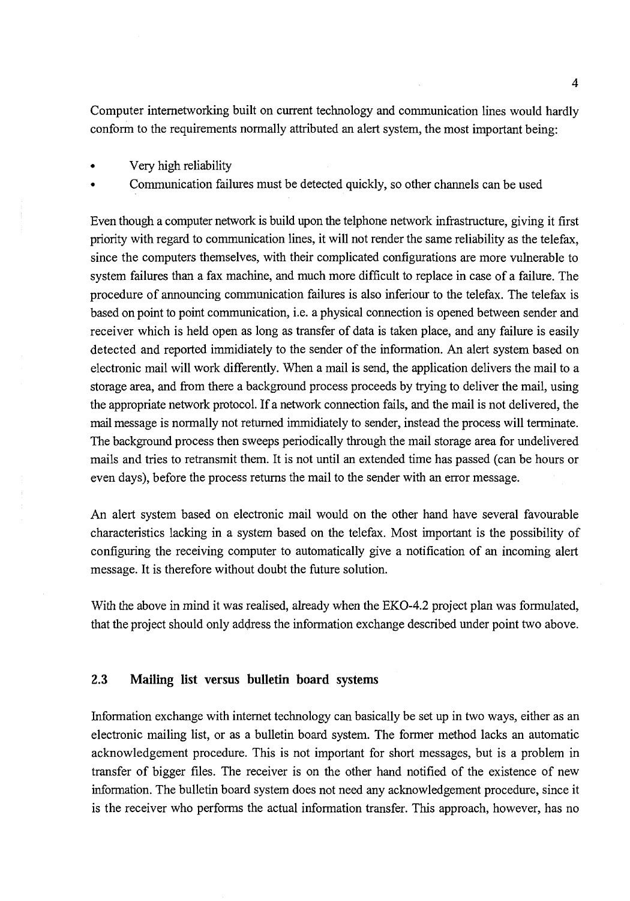Computer internetworking built on current technology and communication lines would hardly conform to the requirements normally attributed an alert system, the most important being:

- Very high reliability
- Communication failures must be detected quickly, so other channels can be used

Even though a computer network is build upon the telphone network infrastructure, giving it first priority with regard to communication lines, it will not render the same reliability as the telefax, since the computers themselves, with their complicated configurations are more vulnerable to system failures than a fax machine, and much more difficult to replace in case of a failure. The procedure of announcing communication failures is also inferiour to the telefax. The telefax is based on point to point communication, i.e. a physical connection is opened between sender and receiver which is held open as long as transfer of data is taken place, and any failure is easily detected and reported immidiately to the sender of the information. An alert system based on electronic mail will work differently. When a mail is send, the application delivers the mail to a storage area, and from there a background process proceeds by trying to deliver the mail, using the appropriate network protocol. If a network connection fails, and the mail is not delivered, the mail message is normally not returned immidiately to sender, instead the process will terminate. The background process then sweeps periodically through the mail storage area for undelivered mails and tries to retransmit them. It is not until an extended time has passed (can be hours or even days), before the process returns the mail to the sender with an error message.

An alert system based on electronic mail would on the other hand have several favourable characteristics lacking in a system based on the telefax. Most important is the possibility of configuring the receiving computer to automatically give a notification of an incoming alert message. It is therefore without doubt the future solution.

With the above in mind it was realised, already when the EKO-4.2 project plan was formulated, that the project should only address the information exchange described under point two above.

#### **2.3 Mailing list versus bulletin board systems**

Information exchange with internet technology can basically be set up in two ways, either as an electronic mailing list, or as a bulletin board system. The former method lacks an automatic acknowledgement procedure. This is not important for short messages, but is a problem in transfer of bigger files. The receiver is on the other hand notified of the existence of new information. The bulletin board system does not need any acknowledgement procedure, since it is the receiver who performs the actual information transfer. This approach, however, has no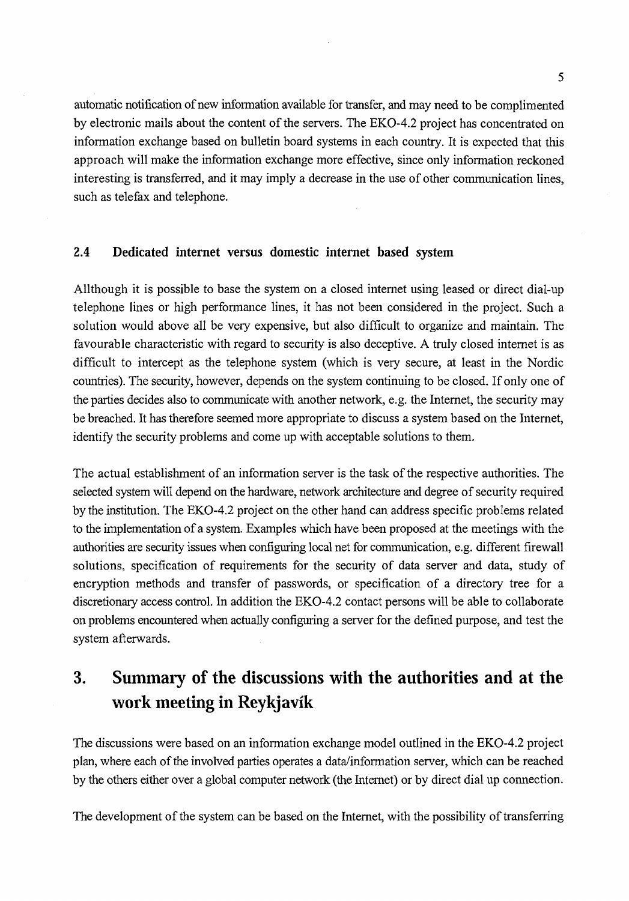automatic notification of new information available for transfer, and may need to be complimented by electronic mails about the content of the servers. The EKO-4.2 project has concentrated on information exchange based on bulletin board systems in each country. It is expected that this approach will make the information exchange more effective, since only information reckoned interesting is transferred, and it may imply a decrease in the use of other communication lines, such as telefax and telephone.

#### **2.4 Dedicated internet versus domestic internet based system**

Allthough it is possible to base the system on a closed internet using leased or direct dial-up telephone lines or high performance lines, it has not been considered in the project. Such a solution would above all be very expensive, but also difficult to organize and maintain. The favourable characteristic with regard to security is also deceptive. A truly closed internet is as difficult to intercept as the telephone system (which is very secure, at least in the Nordic countries). The security, however, depends on the system continuing to be closed. If only one of the parties decides also to communicate with another network, e.g. the Internet, the security may be breached. It has therefore seemed more appropriate to discuss a system based on the Internet, identify the security problems and come up with acceptable solutions to them.

The actual establishment of an information server is the task of the respective authorities. The selected system will depend on the hardware, network architecture and degree of security required by the institution. The EKO-4.2 project on the other hand can address specific problems related to the implementation of a system. Examples which have been proposed at the meetings with the authorities are security issues when configuring local net for communication, e.g. different firewall solutions, specification of requirements for the security of data server and data, study of encryption methods and transfer of passwords, or specification of a directory tree for a discretionary access control. In addition the EKO-4.2 contact persons will be able to collaborate on problems encountered when actually configuring a server for the defined purpose, and test the system afterwards.

## **3. Summary of the discussions with the authorities and at the work meeting in Reykjavik**

The discussions were based on an information exchange model outlined in the EKO-4.2 project plan, where each of the involved parties operates a data/information server, which can be reached by the others either over a global computer network (the Internet) or by direct dial up connection.

The development of the system can be based on the Internet, with the possibility of transferring

5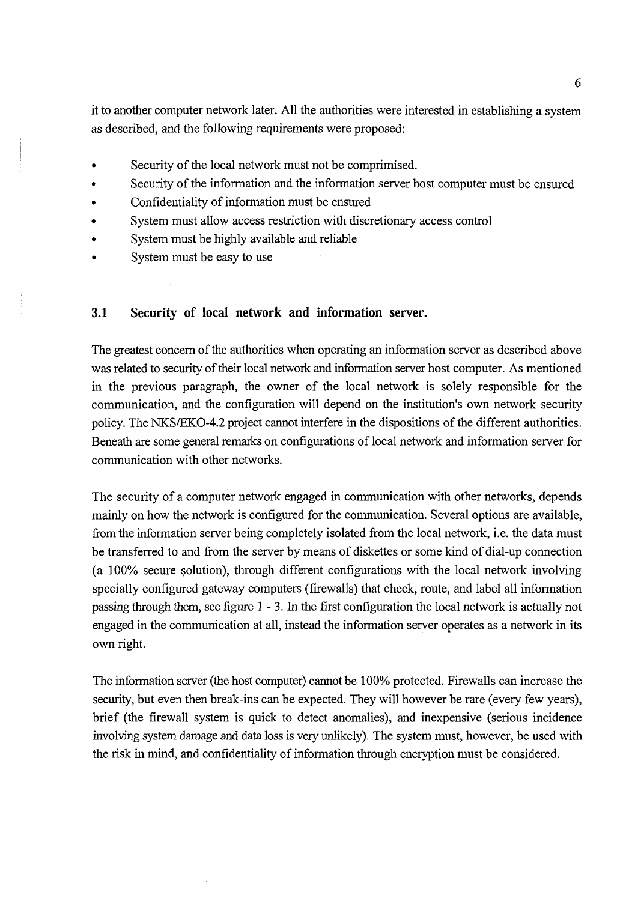it to another computer network later. All the authorities were interested in establishing a system as described, and the following requirements were proposed:

- Security of the local network must not be comprimised.
- Security of the information and the information server host computer must be ensured
- Confidentiality of information must be ensured
- System must allow access restriction with discretionary access control
- System must be highly available and reliable
- System must be easy to use

#### 3.1 Security of local network and information server.

The greatest concern of the authorities when operating an information server as described above was related to security of their local network and information server host computer. As mentioned in the previous paragraph, the owner of the local network is solely responsible for the communication, and the configuration will depend on the institution's own network security policy. The NKS/EKO-4.2 project cannot interfere in the dispositions of the different authorities. Beneath are some general remarks on configurations of local network and information server for communication with other networks.

The security of a computer network engaged in communication with other networks, depends mainly on how the network is configured for the communication. Several options are available, from the information server being completely isolated from the local network, i.e. the data must be transferred to and from the server by means of diskettes or some kind of dial-up connection (a 100% secure solution), through different configurations with the local network involving specially configured gateway computers (firewalls) that check, route, and label all information passing through them, see figure 1 - 3. In the first configuration the local network is actually not engaged in the communication at all, instead the information server operates as a network in its own right.

The information server (the host computer) cannot be 100% protected. Firewalls can increase the security, but even then break-ins can be expected. They will however be rare (every few years), brief (the firewall system is quick to detect anomalies), and inexpensive (serious incidence involving system damage and data loss is very unlikely). The system must, however, be used with the risk in mind, and confidentiality of information through encryption must be considered.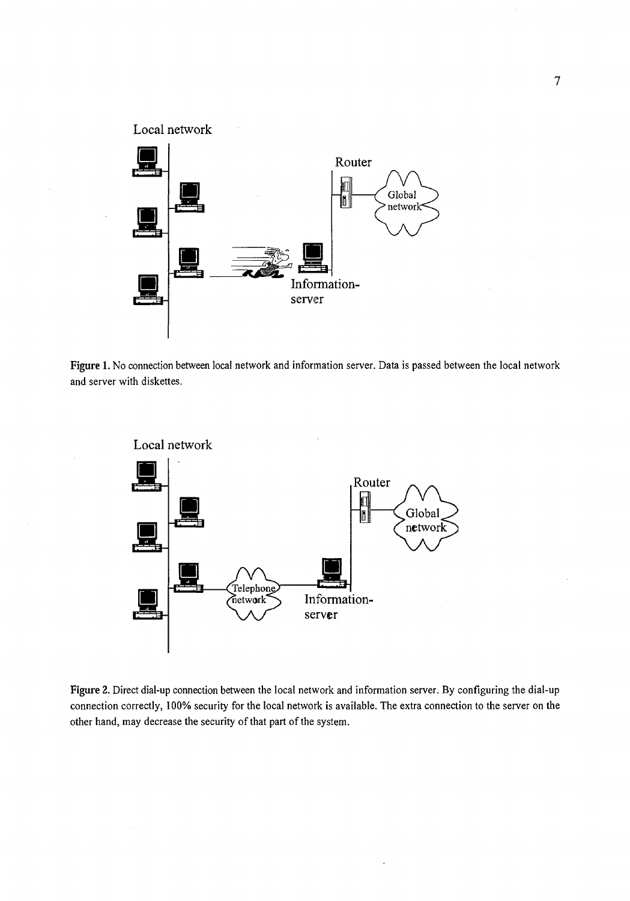

Figure 1. No connection between local network and information server. Data is passed between the local network and server with diskettes.



Figure 2. Direct dial-up connection between the local network and information server. By configuring the dial-up connection correctly, 100% security for the local network is available. The extra connection to the server on the other hand, may decrease the security of that part of the system.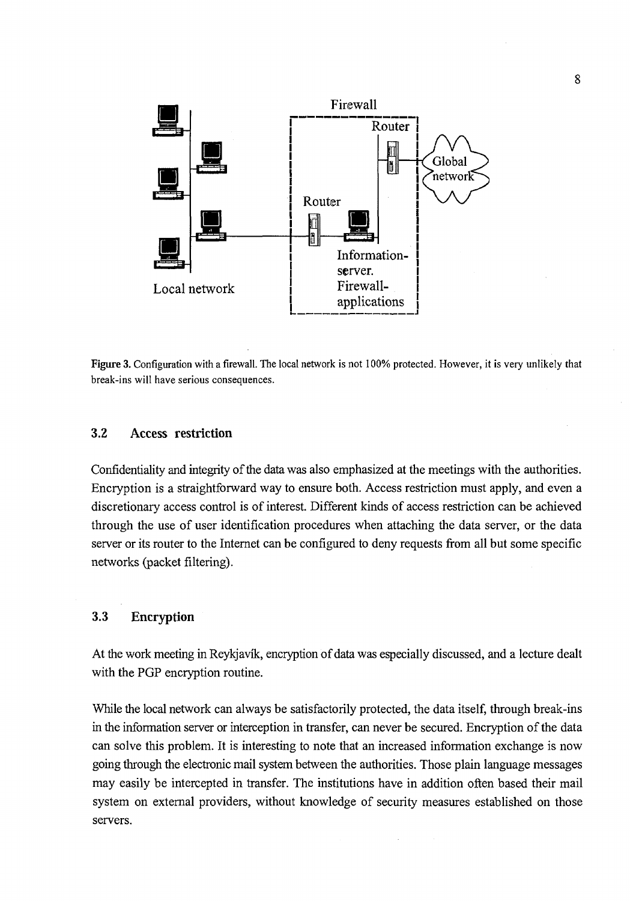

**Figure 3.** Configuration with a firewall. The local network is not 100% protected. However, it is very unlikely that break-ins will have serious consequences.

#### **3.2 Access restriction**

Confidentiality and integrity of the data was also emphasized at the meetings with the authorities. Encryption is a straightforward way to ensure both. Access restriction must apply, and even a discretionary access control is of interest. Different kinds of access restriction can be achieved through the use of user identification procedures when attaching the data server, or the data server or its router to the Internet can be configured to deny requests from all but some specific networks (packet filtering).

#### **3.3 Encryption**

At the work meeting in Reykjavik, encryption of data was especially discussed, and a lecture dealt with the PGP encryption routine.

While the local network can always be satisfactorily protected, the data itself, through break-ins in the information server or interception in transfer, can never be secured. Encryption of the data can solve this problem. It is interesting to note that an increased information exchange is now going through the electronic mail system between the authorities. Those plain language messages may easily be intercepted in transfer. The institutions have in addition often based their mail system on external providers, without knowledge of security measures established on those servers.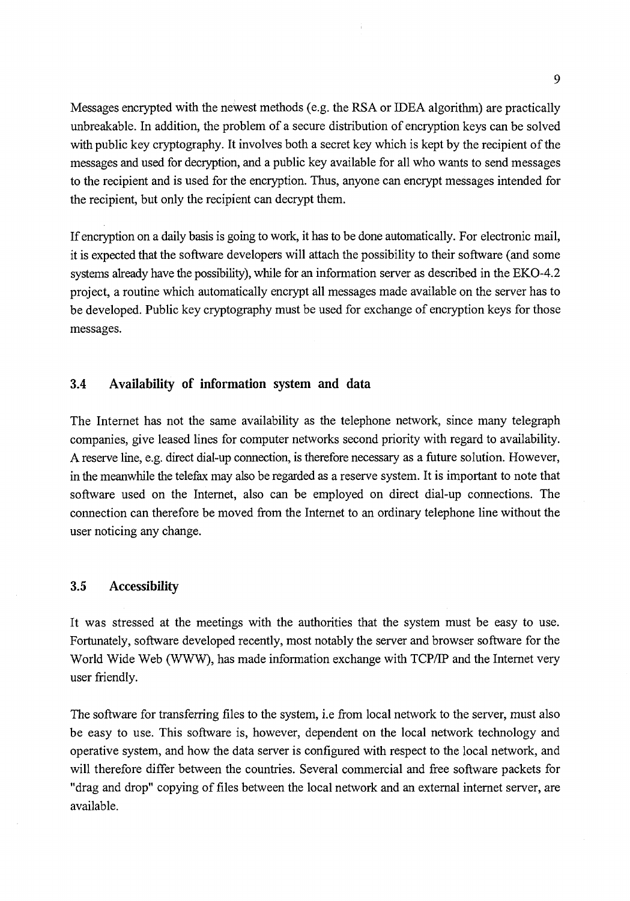Messages encrypted with the newest methods (e.g. the RSA or IDEA algorithm) are practically unbreakable. In addition, the problem of a secure distribution of encryption keys can be solved with public key cryptography. It involves both a secret key which is kept by the recipient of the messages and used for decryption, and a public key available for all who wants to send messages to the recipient and is used for the encryption. Thus, anyone can encrypt messages intended for the recipient, but only the recipient can decrypt them.

If encryption on a daily basis is going to work, it has to be done automatically. For electronic mail, it is expected that the software developers will attach the possibility to their software (and some systems already have the possibility), while for an information server as described in the EKO-4.2 project, a routine which automatically encrypt all messages made available on the server has to be developed. Public key cryptography must be used for exchange of encryption keys for those messages.

#### **3.4 Availability of information system and data**

The Internet has not the same availability as the telephone network, since many telegraph companies, give leased lines for computer networks second priority with regard to availability. A reserve line, e.g. direct dial-up connection, is therefore necessary as a future solution. However, in the meanwhile the telefax may also be regarded as a reserve system. It is important to note that software used on the Internet, also can be employed on direct dial-up connections. The connection can therefore be moved from the Internet to an ordinary telephone line without the user noticing any change.

#### **3.5 Accessibility**

It was stressed at the meetings with the authorities that the system must be easy to use. Fortunately, software developed recently, most notably the server and browser software for the World Wide Web (WWW), has made information exchange with TCP/IP and the Internet very user friendly.

The software for transferring files to the system, i.e from local network to the server, must also be easy to use. This software is, however, dependent on the local network technology and operative system, and how the data server is configured with respect to the local network, and will therefore differ between the countries. Several commercial and free software packets for "drag and drop" copying of files between the local network and an external internet server, are available.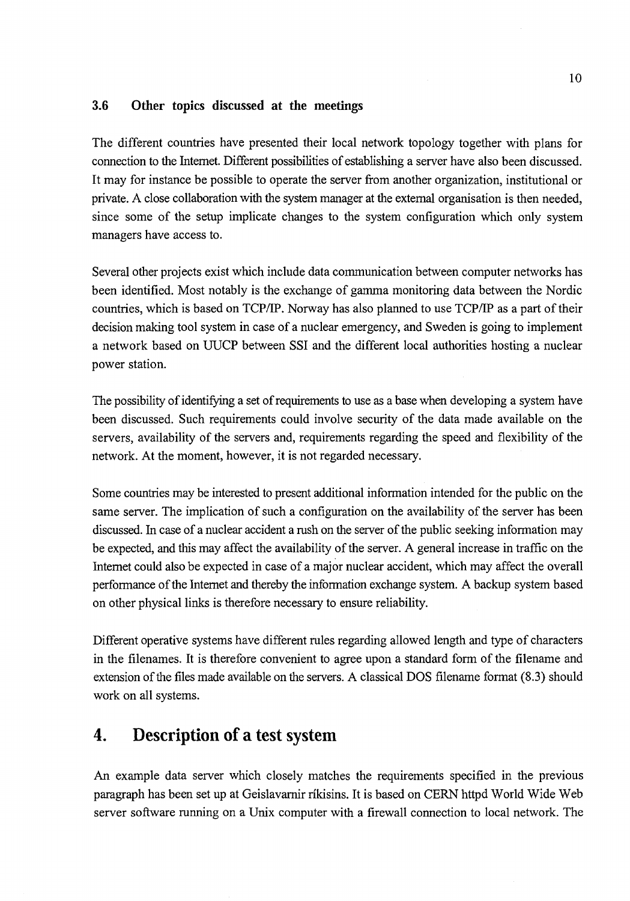#### **3.6 Other topics discussed at the meetings**

The different countries have presented their local network topology together with plans for connection to Ihe Internet. Different possibilities of establishing a server have also been discussed. It may for instance be possible to operate the server from another organization, institutional or private. A close collaboration with the system manager at the external organisation is then needed, since some of the setup implicate changes to the system configuration which only system managers have access to.

Several other projects exist which include data communication between computer networks has been identified. Most notably is the exchange of gamma monitoring data between the Nordic countries, which is based on TCP/IP. Norway has also planned to use TCP/IP as a part of their decision making tool system in case of a nuclear emergency, and Sweden is going to implement a network based on UUCP between SSI and the different local authorities hosting a nuclear power station.

The possibility of identifying a set of requirements to use as a base when developing a system have been discussed. Such requirements could involve security of the data made available on the servers, availability of the servers and, requirements regarding the speed and flexibility of the network. At the moment, however, it is not regarded necessary.

Some countries may be interested to present additional information intended for the public on the same server. The implication of such a configuration on the availability of the server has been discussed. In case of a nuclear accident a rush on the server of the public seeking information may be expected, and this may affect the availability of the server. A general increase in traffic on the Internet could also be expected in case of a major nuclear accident, which may affect the overall performance of the Internet and thereby the information exchange system. A backup system based on other physical links is therefore necessary to ensure reliability.

Different operative systems have different rules regarding allowed length and type of characters in the filenames. It is therefore convenient to agree upon a standard form of the filename and extension of the files made available on the servers. A classical DOS filename format (8.3) should work on all systems.

## 4. Description of a test system

An example data server which closely matches the requirements specified in the previous paragraph has been set up at Geislavarnir rikisins. It is based on CERN httpd World Wide Web server software running on a Unix computer with a firewall connection to local network. The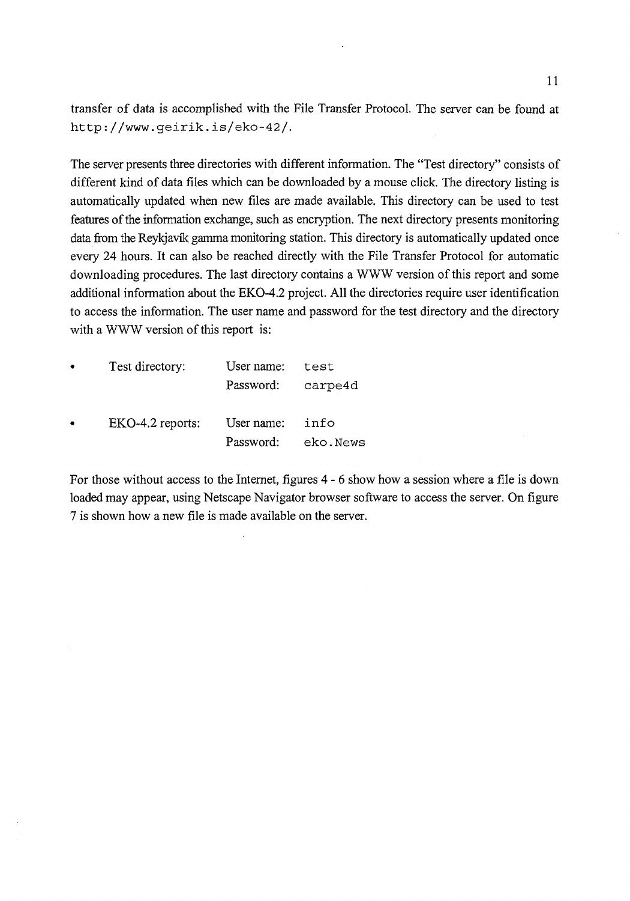transfer of data is accomplished with the File Transfer Protocol. The server can be found at http://www.geirik.is/eko-42/.

The server presents three directories with different information. The "Test directory" consists of different kind of data files which can be downloaded by a mouse click. The directory listing is automatically updated when new files are made available. This directory can be used to test features of the information exchange, such as encryption. The next directory presents monitoring data from the Reykjavik gamma monitoring station. This directory is automatically updated once every 24 hours. It can also be reached directly with the File Transfer Protocol for automatic downloading procedures. The last directory contains a WWW version of this report and some additional information about the EKO-4.2 project. All the directories require user identification to access the information. The user name and password for the test directory and the directory with a WWW version of this report is:

| $\bullet$ | Test directory:  | User name: | test     |
|-----------|------------------|------------|----------|
|           |                  | Password:  | carpe4d  |
| $\bullet$ | EKO-4.2 reports: | User name: | info     |
|           |                  | Password:  | eko.News |

For those without access to the Internet, figures 4- 6 show how a session where a file is down loaded may appear, using Netscape Navigator browser software to access the server. On figure 7 is shown how a new file is made available on the server.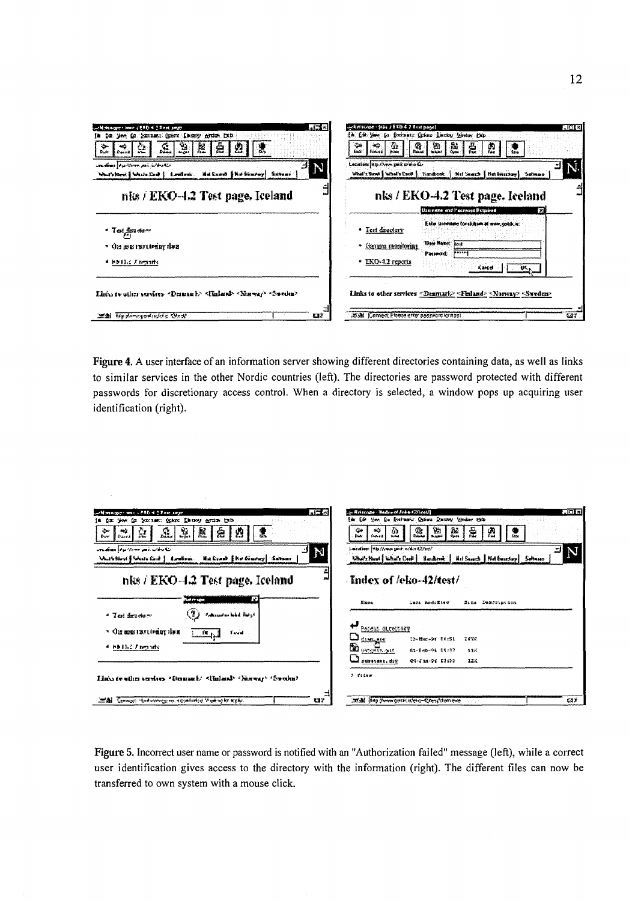| $-15o$<br>will necessary theory (END) is I does parter<br>the time to presence from theory group. Diff.<br>老<br>봆.<br>÷<br>S.<br>急<br>ంద<br>셿<br>g.<br><b>Cours</b><br>рñ.<br><b>Durb</b><br>umandonee forquistemen positi instruction<br>N<br>Machtare   Mach Cad   Louten: Machen   Robinson   Swean- | - Jun 14 (4 8 0 586 - 30 4 6 7 8 8 1 1 8 4 5 1 8 6 6 1 0 3 5 6 1<br>$-161.82$<br>få f. R. Jan. fo fortuntr fram Dintsy gjenne hep.<br>恩<br>赢<br>$\sim$<br>÷.<br>Τù.<br>$\frac{1}{2}$<br>4<br>Ø.<br>۰<br><b>Inches</b><br>kade.<br><b>E Konsea</b><br>Fee<br>Sale.<br>Leculier: Vip Aven pair miles to<br>What's Newl   What's Cacil   Handcok   Net Search   Net twenties   Sufficiency |
|---------------------------------------------------------------------------------------------------------------------------------------------------------------------------------------------------------------------------------------------------------------------------------------------------------|-----------------------------------------------------------------------------------------------------------------------------------------------------------------------------------------------------------------------------------------------------------------------------------------------------------------------------------------------------------------------------------------|
| nits / EKO-4.2 Test page. Iceland                                                                                                                                                                                                                                                                       | nks / EKO-4.2 Test page. Iceland<br>Usainsse and Paccessd Rossined<br>m                                                                                                                                                                                                                                                                                                                 |
| ೆ $\mathcal{I}$ ರ್ಮೈತನಲ<br>• Ora as a montivaler the a<br># ##132 / reports                                                                                                                                                                                                                             | Enter Uromane for cliques at www.osadc.kr.<br>• Test directory<br><b>Unsellance</b> Tost<br>Canana magitorina<br><b>Passed</b><br><b>Faintad:</b><br>* EXO-42 reports<br>-स्प्र<br>Kartel -                                                                                                                                                                                             |
| Litin to other curvices "Deman b" "Rulend" "Narway" "Sweden"<br>五分<br>MA Hydergodsvicta Grik                                                                                                                                                                                                            | Links to other services <denmark> <finland> <norway> <sweden><br/>adial (Connect Please enter possionato location)<br/>537</sweden></norway></finland></denmark>                                                                                                                                                                                                                        |

Figure 4. A user interface of an information server showing different directories containing data, as well as links to similar services in the other Nordic countries (left). The directories are password protected with different passwords for discretionary access control. When a directory is selected, a window pops up acquiring user identification (right).

 $\Delta \sim 1$ 

| 見立む<br>and weapon was a FRD of 2 Research                                                                     | ानगर<br>Aristope - Redound John 12/InstA                                                                         |
|---------------------------------------------------------------------------------------------------------------|------------------------------------------------------------------------------------------------------------------|
| is it is the in the second order I have areas to b                                                            | Em Ede time is fortunit Orien Dutter theore to b                                                                 |
| 尮<br>$\mathbb{R}$<br>÷.<br>$\frac{1}{2}$<br>ε<br>29.<br>法<br>æ<br>$\mathbf{F}$ and $\mathbf{F}$<br><b>Eur</b> | 靐<br>鬣<br>Ø,<br>95<br>磊<br>٠<br>خه<br>Φ<br>Ã.<br><b>Business</b><br><b>Forest</b><br><b>Notes</b><br><b>Date</b> |
| aradona figuriare poé arbeitar<br>"N                                                                          | Lacaine (viscous por crito 422 et)                                                                               |
| Mulkhard Shutchak   Louisus   Halkean   He Kouray   Sations                                                   | N<br>What's Hood   What's Case   Handlessk   Hel Search   Net Besschup   Software                                |
| nks / EKO-4.2 Test page. Iceland                                                                              | - Index of /eko-42/test/                                                                                         |
| ſΟ<br>San Program                                                                                             | Kape.<br>leri rodofisc<br>Sims Demortinoism                                                                      |
| $(2)$ . Administration $\mu_{\mathcal{F}}$<br>$+$ Test fractory                                               |                                                                                                                  |
| - On money their deal                                                                                         | ↩<br>Pacent directory                                                                                            |
| $\frac{1}{2}$ (c) $\frac{1}{2}$ (c) $\frac{1}{2}$ (c) $\frac{1}{2}$                                           | diam.exe<br>13-Mar-04 04:51<br>24732                                                                             |
| 4. 林阳县名 大石雪山的                                                                                                 | <b>D <i><u>Party Thomas</u></i></b><br>di-Fen-96 04:37<br>33K                                                    |
|                                                                                                               | awasan dag<br>04-330-94 51:33<br>122                                                                             |
| Linear ein verlas (Demach (Enland) harvar (Svoba)                                                             | 3 files                                                                                                          |
| 322<br>mail Concorn to decompany a control of the solar sply.                                                 | adal inpowergentalen-Crestdoment<br>612                                                                          |

Figure 5. Incorrect user name or password is notified with an "Authorization failed" message (left), while a correct user identification gives access to the directory with the information (right). The different files can now be transferred to own system with a mouse click.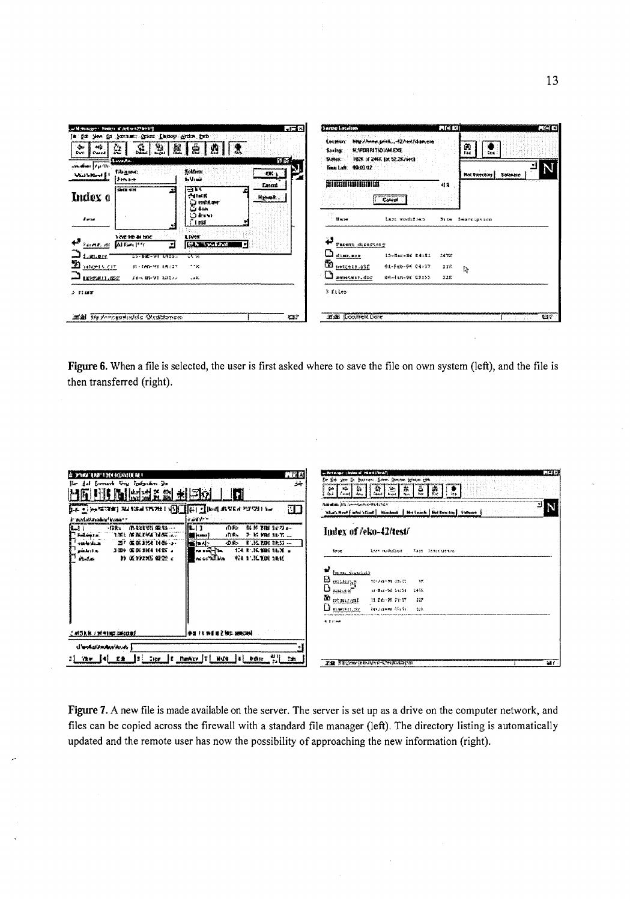| S.<br>老<br>$\mathbb{Z}$<br>$\rightarrow$<br>ĝ.<br>峊<br>ండి<br>藰<br><b>Doctor</b><br><b>E Coard</b> |                             |                                   | <b>Souths:</b>                              | Mig/Asex.seit42/ex/dameie<br>Escritor:<br><b>RANDIRITYDIAMEXE</b> |      |                       |
|----------------------------------------------------------------------------------------------------|-----------------------------|-----------------------------------|---------------------------------------------|-------------------------------------------------------------------|------|-----------------------|
| p <b>oratus  </b> Aprilio                                                                          | LavaAs                      |                                   | <b>THONE</b><br>5154<br>Time Lady. 02:10:12 | <b>1926 of 2444, EN 32, 287 British</b>                           |      |                       |
| WELFERING                                                                                          | <b>REALING</b><br>it in ter | <b>Kolony</b><br>in Unit          | <u>any </u>                                 |                                                                   |      | Not Excount   Solvene |
|                                                                                                    | 4414                        | Lason<br>∣⊟™                      | <b>BURBINDERING</b>                         |                                                                   | 相言   |                       |
| Index o                                                                                            |                             | 光相解性<br><b>Herman</b><br>Q mid ar |                                             | <b>Count</b>                                                      |      |                       |
|                                                                                                    |                             | Q 1-50<br>O BYW                   |                                             |                                                                   |      |                       |
| A server                                                                                           |                             | ど I DM                            | News                                        | less woodsfless                                                   | 5128 | Immerciption          |
| Farme, di                                                                                          | 130010-00302<br>MEnH        | LEWS<br><b>CONTRACTOR</b><br>×.   | 43<br>Patent directory                      |                                                                   |      |                       |
| Lunger                                                                                             | シストを楽 デマト もうごはい             | राज                               | u<br>disn, miss                             | 13-Nar-9f D4:51                                                   | 2478 |                       |
| 3410915-017                                                                                        | <b>BL-TAD-ME EASIT</b>      | in se                             | ü<br>netceis gift                           | 01-Feb-94 04-99                                                   | 118  | I.                    |
| LEXEBILIZE                                                                                         | 24-6 02-24 121200           | تخدد                              | sweets: doc                                 | 04~lin-9f 03:53                                                   | 127  |                       |
| 2.1187                                                                                             |                             |                                   | $5$ files                                   |                                                                   |      |                       |
|                                                                                                    |                             |                                   |                                             |                                                                   |      |                       |

**Figure 6.** When a file is selected, the user is first asked where to save the file on own system (left), and the file is then transferred (right).

| 7. O 4<br>É DINA TAN'I MANGARATA N<br>۸÷<br>Lorent Ury Inform In<br>  범패증<br>劉<br>司<br>LE Contact Milanus (2017) [[1] [[1] Market Mail Pile<br>a ann.<br>i verdateralndiraan.<br>$-BF_1$ $-BHHH$ $BH_2$<br>就影明社会等品<br>III. 13<br>di So<br>a.,<br>Sedans In.<br>当常日 解激活性的过去式<br>$F$ is the above $\sim$<br>all Soc<br><b>Hotel</b> [statut]<br>四「张名JS4 1466-2-<br>$E.M.M.H.S. -$<br>400 levis.ac<br><b>DE</b><br><b>NEPAL</b><br>154 R. K. KRI 86 X<br>المراء والعثير<br>$R = 100 - 100$<br>1009 GOLDEN NOT .<br>↑ 低100% 藿芒 。<br>KI F.K.DH 16K<br><b>STALLS</b><br>na an William | הוצה<br>an Bertaupper (deshion of Them Eighbourn)<br>Er Ed jen in bernen Ener Deer er beide bli<br>$  \vec{x}  $<br>ê<br>ł.<br>x,<br>≁<br>$\Delta\mu\lambda$ . Leavily, $\Delta\mu\lambda$<br>Remaining fits investment could fitted it<br>- N<br>What's Hour E influt 's Court   Nautheast   Med Europe's   Girl Bowley   Gatheast  <br>Index of <i>feko-42/test/</i><br><b>MAS MORGER</b><br><b>FALL SCONCLISHING</b><br>Arres<br><b>For exc.</b> discussion<br>$\mathbf{B}_{\text{measured}}$<br>001249131-00100<br>17.<br>$\mathbf{D}$ $_{\text{meas}}$<br><b>NUMBER OF SALES</b><br>2478<br><b>M</b> <i>provint</i><br>计字数 化四<br>227<br>$\mathbf{D}$ assuming<br>Dindepoint Office<br>228. |
|---------------------------------------------------------------------------------------------------------------------------------------------------------------------------------------------------------------------------------------------------------------------------------------------------------------------------------------------------------------------------------------------------------------------------------------------------------------------------------------------------------------------------------------------------------------------------------|-------------------------------------------------------------------------------------------------------------------------------------------------------------------------------------------------------------------------------------------------------------------------------------------------------------------------------------------------------------------------------------------------------------------------------------------------------------------------------------------------------------------------------------------------------------------------------------------------------------------------------------------------------------------------------------------------|
| <b>I decrease and a first property</b><br>对等的第三词例 网络花椒属<br>] وامردها معاده لاتصاد ما ل<br>$\begin{bmatrix} 1 & 1 \\ 1 & 1 \end{bmatrix}$ and $\begin{bmatrix} 1 & 1 \\ 1 & 1 \end{bmatrix}$ and $\begin{bmatrix} 1 & 1 \\ 1 & 1 \end{bmatrix}$ . Then<br>$21$ Yew $[4]$ $E \pm$<br>Cipe.                                                                                                                                                                                                                                                                                        | 9.8499<br>SAY.<br>TE STOCK RESIDENCE TRIBUTES                                                                                                                                                                                                                                                                                                                                                                                                                                                                                                                                                                                                                                                   |

**Figure 7.** A new file is made available on the server. The server is set up as a drive on the computer network, and files can be copied across the firewall with a standard file manager (left). The directory listing is automatically updated and the remote user has now the possibility of approaching the new information (right).